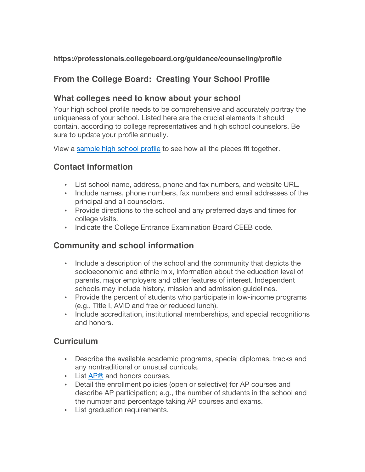#### **https://professionals.collegeboard.org/guidance/counseling/profile**

### **From the College Board: Creating Your School Profile**

### **What colleges need to know about your school**

Your high school profile needs to be comprehensive and accurately portray the uniqueness of your school. Listed here are the crucial elements it should contain, according to college representatives and high school counselors. Be sure to update your profile annually.

View a sample high school profile to see how all the pieces fit together.

### **Contact information**

- List school name, address, phone and fax numbers, and website URL.
- Include names, phone numbers, fax numbers and email addresses of the principal and all counselors.
- Provide directions to the school and any preferred days and times for college visits.
- Indicate the College Entrance Examination Board CEEB code.

### **Community and school information**

- Include a description of the school and the community that depicts the socioeconomic and ethnic mix, information about the education level of parents, major employers and other features of interest. Independent schools may include history, mission and admission guidelines.
- Provide the percent of students who participate in low-income programs (e.g., Title I, AVID and free or reduced lunch).
- Include accreditation, institutional memberships, and special recognitions and honors.

### **Curriculum**

- Describe the available academic programs, special diplomas, tracks and any nontraditional or unusual curricula.
- List AP® and honors courses.
- Detail the enrollment policies (open or selective) for AP courses and describe AP participation; e.g., the number of students in the school and the number and percentage taking AP courses and exams.
- List graduation requirements.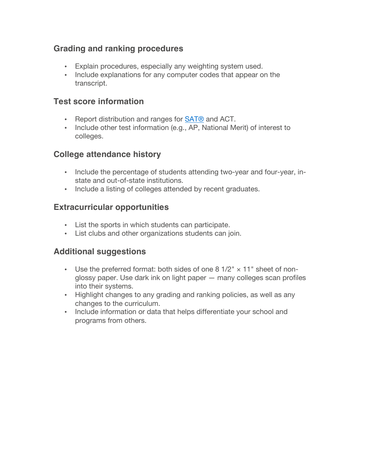### **Grading and ranking procedures**

- Explain procedures, especially any weighting system used.
- Include explanations for any computer codes that appear on the transcript.

#### **Test score information**

- Report distribution and ranges for SAT® and ACT.
- Include other test information (e.g., AP, National Merit) of interest to colleges.

### **College attendance history**

- Include the percentage of students attending two-year and four-year, instate and out-of-state institutions.
- Include a listing of colleges attended by recent graduates.

#### **Extracurricular opportunities**

- List the sports in which students can participate.
- List clubs and other organizations students can join.

### **Additional suggestions**

- Use the preferred format: both sides of one 8  $1/2" \times 11"$  sheet of nonglossy paper. Use dark ink on light paper — many colleges scan profiles into their systems.
- Highlight changes to any grading and ranking policies, as well as any changes to the curriculum.
- Include information or data that helps differentiate your school and programs from others.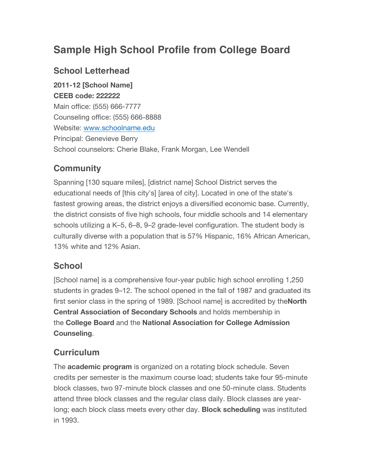# **Sample High School Profile from College Board**

### **School Letterhead**

**2011-12 [School Name] CEEB code: 222222** Main office: (555) 666-7777 Counseling office: (555) 666-8888 Website: www.schoolname.edu Principal: Genevieve Berry School counselors: Cherie Blake, Frank Morgan, Lee Wendell

# **Community**

Spanning [130 square miles], [district name] School District serves the educational needs of [this city's] [area of city]. Located in one of the state's fastest growing areas, the district enjoys a diversified economic base. Currently, the district consists of five high schools, four middle schools and 14 elementary schools utilizing a K–5, 6–8, 9–2 grade-level configuration. The student body is culturally diverse with a population that is 57% Hispanic, 16% African American, 13% white and 12% Asian.

### **School**

[School name] is a comprehensive four-year public high school enrolling 1,250 students in grades 9–12. The school opened in the fall of 1987 and graduated its first senior class in the spring of 1989. [School name] is accredited by the**North Central Association of Secondary Schools** and holds membership in the **College Board** and the **National Association for College Admission Counseling**.

### **Curriculum**

The **academic program** is organized on a rotating block schedule. Seven credits per semester is the maximum course load; students take four 95-minute block classes, two 97-minute block classes and one 50-minute class. Students attend three block classes and the regular class daily. Block classes are yearlong; each block class meets every other day. **Block scheduling** was instituted in 1993.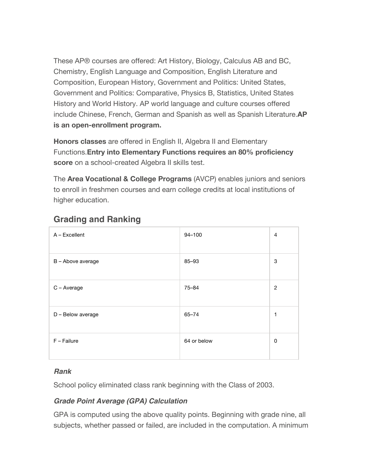These AP® courses are offered: Art History, Biology, Calculus AB and BC, Chemistry, English Language and Composition, English Literature and Composition, European History, Government and Politics: United States, Government and Politics: Comparative, Physics B, Statistics, United States History and World History. AP world language and culture courses offered include Chinese, French, German and Spanish as well as Spanish Literature.**AP is an open-enrollment program.**

**Honors classes** are offered in English II, Algebra II and Elementary Functions.**Entry into Elementary Functions requires an 80% proficiency score** on a school-created Algebra II skills test.

The **Area Vocational & College Programs** (AVCP) enables juniors and seniors to enroll in freshmen courses and earn college credits at local institutions of higher education.

| $A - Excellent$   | $94 - 100$  | 4              |
|-------------------|-------------|----------------|
| B - Above average | 85-93       | 3              |
| C - Average       | $75 - 84$   | $\overline{2}$ |
| D - Below average | $65 - 74$   | 1              |
| $F - Failure$     | 64 or below | 0              |

### **Grading and Ranking**

#### *Rank*

School policy eliminated class rank beginning with the Class of 2003.

### *Grade Point Average (GPA) Calculation*

GPA is computed using the above quality points. Beginning with grade nine, all subjects, whether passed or failed, are included in the computation. A minimum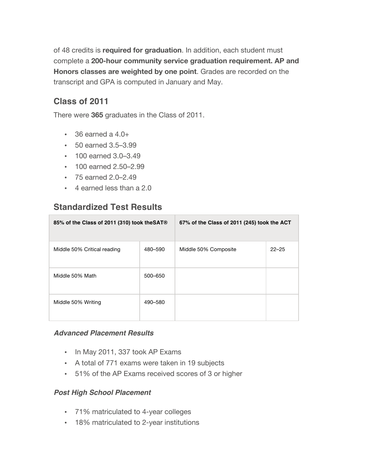of 48 credits is **required for graduation**. In addition, each student must complete a **200-hour community service graduation requirement. AP and Honors classes are weighted by one point**. Grades are recorded on the transcript and GPA is computed in January and May.

### **Class of 2011**

There were **365** graduates in the Class of 2011.

- $\cdot$  36 earned a 4.0+
- 50 earned 3.5–3.99
- 100 earned 3.0–3.49
- 100 earned 2.50–2.99
- 75 earned 2.0–2.49
- 4 earned less than a 2.0

### **Standardized Test Results**

| 85% of the Class of 2011 (310) took the SAT® |         | 67% of the Class of 2011 (245) took the ACT |           |
|----------------------------------------------|---------|---------------------------------------------|-----------|
| Middle 50% Critical reading                  | 480-590 | Middle 50% Composite                        | $22 - 25$ |
| Middle 50% Math                              | 500-650 |                                             |           |
| Middle 50% Writing                           | 490-580 |                                             |           |

#### *Advanced Placement Results*

- In May 2011, 337 took AP Exams
- A total of 771 exams were taken in 19 subjects
- 51% of the AP Exams received scores of 3 or higher

#### *Post High School Placement*

- 71% matriculated to 4-year colleges
- 18% matriculated to 2-year institutions